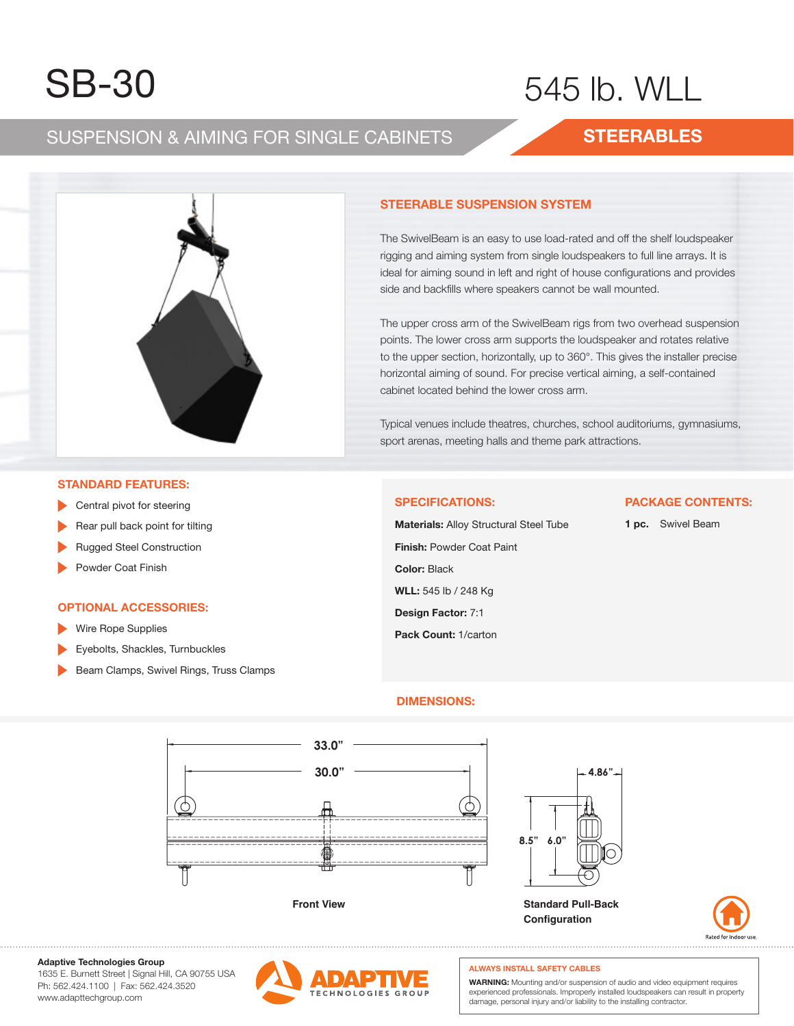# SB-30 SB-30 SB-30

# $515$   $10$ 545 lb. WLL

## SUSPENSION & AIMING FOR SINGLE CABINETS SUSPENSION & AIMING FOR SINGLE CABINETS SUSPENSION & AIMING FOR SINGLE CABINETS

## **STEERABLES STEERABLES STEERABLES**



#### The Swim is an easy to use lower to use the shelf loudspeaker lower to use the shelf loudspeaker is a shelf lo **STEERABLE SUSPENSION SYSTEM STEERABLE SUSPENSION SYSTEM**

The SwivelBeam is an easy to use load-rated and off the shelf loudspeaker rigging and aiming system from single loudspeakers to full line arrays. It is ideal for aiming sound in left and right of house configurations and provides side and backfills where speakers cannot be wall mounted.

The upper cross arm of the SwivelBeam rigs from two overhead suspension points. The lower cross arm supports the loudspeaker and rotates relative to the upper section, horizontally, up to 360°. This gives the installer precise horizontal aiming of sound. For precise vertical aiming, a self-contained cabinet located behind the lower cross arm.

rypical verides include trieaties, cridiciles, scribbi additoriali Typical venues include theatres, churches, school auditoriums, gymnasiums, y.<br>sport arenas, meeting halls and theme park attractions.

## **STANDARD FEATURES:**

- **STAND** Central pivot for steering
- **Rear pull back point for tilting**
- $\mathbb{R}^n$  pull back point for tilting for tilting for tilting  $\mathbb{R}^n$ ▶ Rugged Steel Construction
- ▶ Powder Coat Finish ► Rugged Steel Construction

## **OPTIONAL ACCESSORIES OPTIONAL ACCESSORIES:**

- ► Wire Rope Supplies Wire Rope Supplies **P Contract Access**
- ► Eyebolts, Shackles, Turnbuckles Eyebolts, Shackles, Turnbuckles  $\mathcal{L} = \mathcal{L} \times \mathcal{L}$
- ► Beam Clamps, Swivel Rings, Truss Clamps Beam Clamps, Swivel Rings, Truss Clamps

#### **SPECIFICATIONS:**

**Finish:** Powder Coat Paint **WLL:** 545 lb / 248 Kg **Design Factor:** 7:1 **Pack Count:** 1/carton **Material:** Alloy Structural Steel Tube **Color:** Black **Materials:** Alloy Structural Steel Tube

### **PACKAGE CONTENTS:**

**1 pc.** Swivel Beam

## **DIMENSIONS: DIMENSIONS:**





**Adaptive Technologies Group Adaptive Technologies Group**

1635 E. Burnett Street | Signal Hill, CA 90755 USA 1635 E. Burnett Street | Signal Hill, CA 90755 USA Ph: 562.424.1100 | Fax: 562.424.3520 Ph: 562.424.1100 | Fax: 562.424.3520 ww.adapttechgroup.com www.adapttechgroup.com



## **ALWAYS INSTALL SAFETY CABLES ALWAYS INSTALL SAFETY CABLES**

**Configuration**

WARNING: Mounting and/or suspension of audio and video equipment requires experienced professionals. Improperly installed loudspeakers can result in property damage, personal injury and/or liability to the installing contractor.<br>.